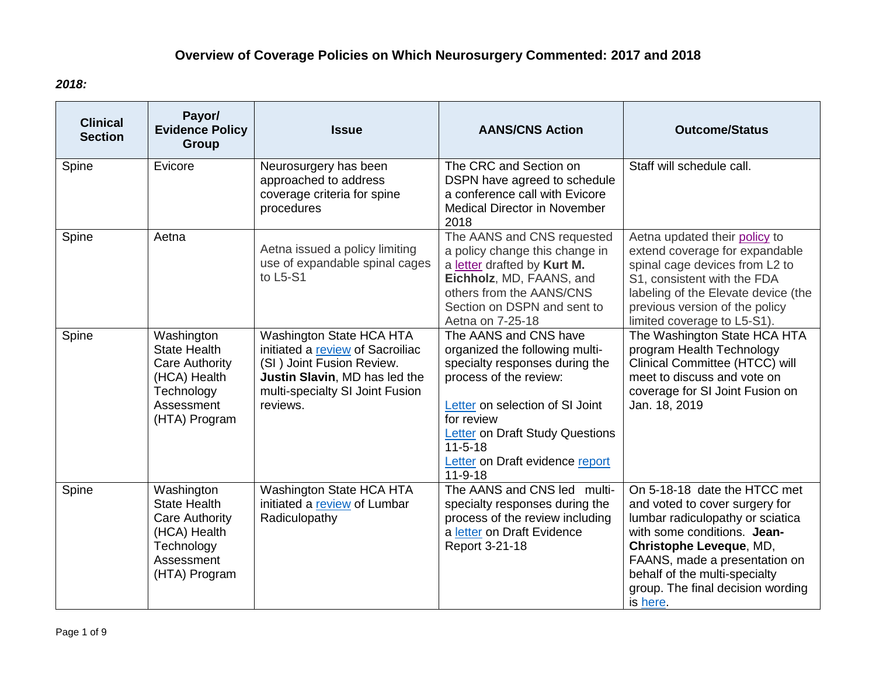## **Overview of Coverage Policies on Which Neurosurgery Commented: 2017 and 2018**

## *2018:*

| <b>Clinical</b><br><b>Section</b> | Payor/<br><b>Evidence Policy</b><br>Group                                                                        | <b>Issue</b>                                                                                                                                                                     | <b>AANS/CNS Action</b>                                                                                                                                                                                                                                                              | <b>Outcome/Status</b>                                                                                                                                                                                                                                                           |
|-----------------------------------|------------------------------------------------------------------------------------------------------------------|----------------------------------------------------------------------------------------------------------------------------------------------------------------------------------|-------------------------------------------------------------------------------------------------------------------------------------------------------------------------------------------------------------------------------------------------------------------------------------|---------------------------------------------------------------------------------------------------------------------------------------------------------------------------------------------------------------------------------------------------------------------------------|
| Spine                             | Evicore                                                                                                          | Neurosurgery has been<br>approached to address<br>coverage criteria for spine<br>procedures                                                                                      | The CRC and Section on<br>DSPN have agreed to schedule<br>a conference call with Evicore<br><b>Medical Director in November</b><br>2018                                                                                                                                             | Staff will schedule call.                                                                                                                                                                                                                                                       |
| Spine                             | Aetna                                                                                                            | Aetna issued a policy limiting<br>use of expandable spinal cages<br>to L5-S1                                                                                                     | The AANS and CNS requested<br>a policy change this change in<br>a letter drafted by Kurt M.<br>Eichholz, MD, FAANS, and<br>others from the AANS/CNS<br>Section on DSPN and sent to<br>Aetna on 7-25-18                                                                              | Aetna updated their policy to<br>extend coverage for expandable<br>spinal cage devices from L2 to<br>S1, consistent with the FDA<br>labeling of the Elevate device (the<br>previous version of the policy<br>limited coverage to L5-S1).                                        |
| Spine                             | Washington<br><b>State Health</b><br>Care Authority<br>(HCA) Health<br>Technology<br>Assessment<br>(HTA) Program | <b>Washington State HCA HTA</b><br>initiated a review of Sacroiliac<br>(SI) Joint Fusion Review.<br>Justin Slavin, MD has led the<br>multi-specialty SI Joint Fusion<br>reviews. | The AANS and CNS have<br>organized the following multi-<br>specialty responses during the<br>process of the review:<br>Letter on selection of SI Joint<br>for review<br><b>Letter</b> on Draft Study Questions<br>$11 - 5 - 18$<br>Letter on Draft evidence report<br>$11 - 9 - 18$ | The Washington State HCA HTA<br>program Health Technology<br>Clinical Committee (HTCC) will<br>meet to discuss and vote on<br>coverage for SI Joint Fusion on<br>Jan. 18, 2019                                                                                                  |
| Spine                             | Washington<br><b>State Health</b><br>Care Authority<br>(HCA) Health<br>Technology<br>Assessment<br>(HTA) Program | <b>Washington State HCA HTA</b><br>initiated a review of Lumbar<br>Radiculopathy                                                                                                 | The AANS and CNS led multi-<br>specialty responses during the<br>process of the review including<br>a letter on Draft Evidence<br>Report 3-21-18                                                                                                                                    | On 5-18-18 date the HTCC met<br>and voted to cover surgery for<br>lumbar radiculopathy or sciatica<br>with some conditions. Jean-<br>Christophe Leveque, MD,<br>FAANS, made a presentation on<br>behalf of the multi-specialty<br>group. The final decision wording<br>is here. |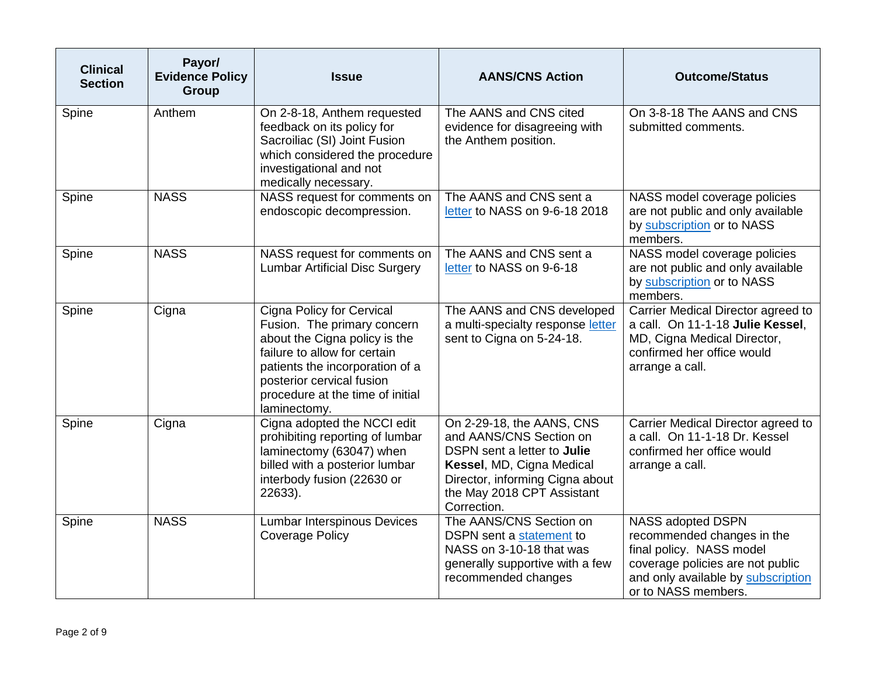| <b>Clinical</b><br><b>Section</b> | Payor/<br><b>Evidence Policy</b><br><b>Group</b> | <b>Issue</b>                                                                                                                                                                                                                                         | <b>AANS/CNS Action</b>                                                                                                                                                                           | <b>Outcome/Status</b>                                                                                                                                                        |
|-----------------------------------|--------------------------------------------------|------------------------------------------------------------------------------------------------------------------------------------------------------------------------------------------------------------------------------------------------------|--------------------------------------------------------------------------------------------------------------------------------------------------------------------------------------------------|------------------------------------------------------------------------------------------------------------------------------------------------------------------------------|
| Spine                             | Anthem                                           | On 2-8-18, Anthem requested<br>feedback on its policy for<br>Sacroiliac (SI) Joint Fusion<br>which considered the procedure<br>investigational and not<br>medically necessary.                                                                       | The AANS and CNS cited<br>evidence for disagreeing with<br>the Anthem position.                                                                                                                  | On 3-8-18 The AANS and CNS<br>submitted comments.                                                                                                                            |
| Spine                             | <b>NASS</b>                                      | NASS request for comments on<br>endoscopic decompression.                                                                                                                                                                                            | The AANS and CNS sent a<br>letter to NASS on 9-6-18 2018                                                                                                                                         | NASS model coverage policies<br>are not public and only available<br>by subscription or to NASS<br>members.                                                                  |
| Spine                             | <b>NASS</b>                                      | NASS request for comments on<br><b>Lumbar Artificial Disc Surgery</b>                                                                                                                                                                                | The AANS and CNS sent a<br>letter to NASS on 9-6-18                                                                                                                                              | NASS model coverage policies<br>are not public and only available<br>by subscription or to NASS<br>members.                                                                  |
| Spine                             | Cigna                                            | <b>Cigna Policy for Cervical</b><br>Fusion. The primary concern<br>about the Cigna policy is the<br>failure to allow for certain<br>patients the incorporation of a<br>posterior cervical fusion<br>procedure at the time of initial<br>laminectomy. | The AANS and CNS developed<br>a multi-specialty response letter<br>sent to Cigna on 5-24-18.                                                                                                     | Carrier Medical Director agreed to<br>a call. On 11-1-18 Julie Kessel,<br>MD, Cigna Medical Director,<br>confirmed her office would<br>arrange a call.                       |
| Spine                             | Cigna                                            | Cigna adopted the NCCI edit<br>prohibiting reporting of lumbar<br>laminectomy (63047) when<br>billed with a posterior lumbar<br>interbody fusion (22630 or<br>22633).                                                                                | On 2-29-18, the AANS, CNS<br>and AANS/CNS Section on<br>DSPN sent a letter to Julie<br>Kessel, MD, Cigna Medical<br>Director, informing Cigna about<br>the May 2018 CPT Assistant<br>Correction. | Carrier Medical Director agreed to<br>a call. On 11-1-18 Dr. Kessel<br>confirmed her office would<br>arrange a call.                                                         |
| Spine                             | <b>NASS</b>                                      | <b>Lumbar Interspinous Devices</b><br><b>Coverage Policy</b>                                                                                                                                                                                         | The AANS/CNS Section on<br>DSPN sent a statement to<br>NASS on 3-10-18 that was<br>generally supportive with a few<br>recommended changes                                                        | NASS adopted DSPN<br>recommended changes in the<br>final policy. NASS model<br>coverage policies are not public<br>and only available by subscription<br>or to NASS members. |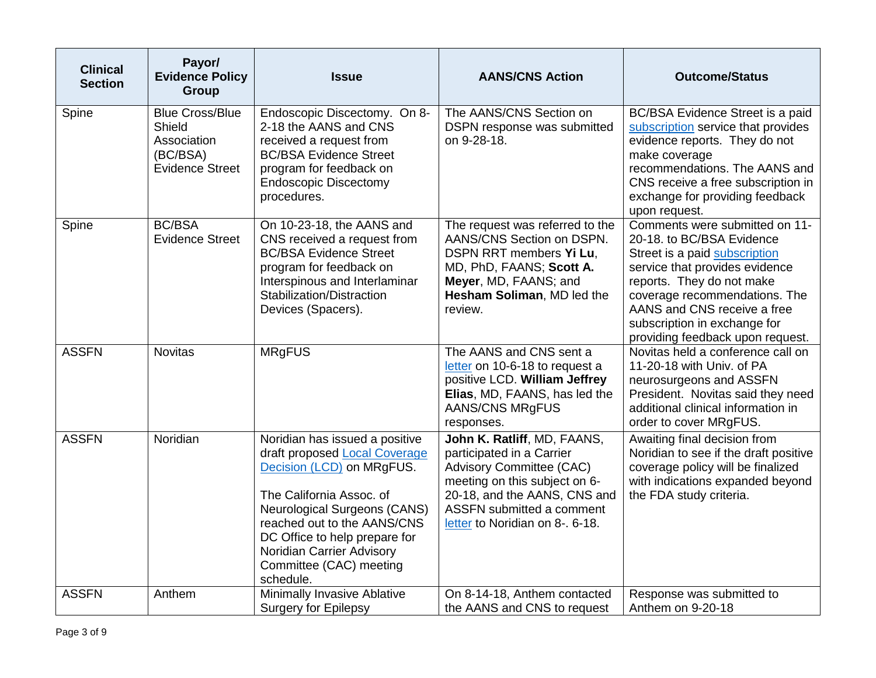| <b>Clinical</b><br><b>Section</b> | Payor/<br><b>Evidence Policy</b><br><b>Group</b>                                      | <b>Issue</b>                                                                                                                                                                                                                                                                                         | <b>AANS/CNS Action</b>                                                                                                                                                                                                       | <b>Outcome/Status</b>                                                                                                                                                                                                                                                                           |
|-----------------------------------|---------------------------------------------------------------------------------------|------------------------------------------------------------------------------------------------------------------------------------------------------------------------------------------------------------------------------------------------------------------------------------------------------|------------------------------------------------------------------------------------------------------------------------------------------------------------------------------------------------------------------------------|-------------------------------------------------------------------------------------------------------------------------------------------------------------------------------------------------------------------------------------------------------------------------------------------------|
| Spine                             | <b>Blue Cross/Blue</b><br>Shield<br>Association<br>(BC/BSA)<br><b>Evidence Street</b> | Endoscopic Discectomy. On 8-<br>2-18 the AANS and CNS<br>received a request from<br><b>BC/BSA Evidence Street</b><br>program for feedback on<br><b>Endoscopic Discectomy</b><br>procedures.                                                                                                          | The AANS/CNS Section on<br>DSPN response was submitted<br>on 9-28-18.                                                                                                                                                        | BC/BSA Evidence Street is a paid<br>subscription service that provides<br>evidence reports. They do not<br>make coverage<br>recommendations. The AANS and<br>CNS receive a free subscription in<br>exchange for providing feedback<br>upon request.                                             |
| Spine                             | <b>BC/BSA</b><br><b>Evidence Street</b>                                               | On 10-23-18, the AANS and<br>CNS received a request from<br><b>BC/BSA Evidence Street</b><br>program for feedback on<br>Interspinous and Interlaminar<br>Stabilization/Distraction<br>Devices (Spacers).                                                                                             | The request was referred to the<br>AANS/CNS Section on DSPN.<br>DSPN RRT members Yi Lu,<br>MD, PhD, FAANS; Scott A.<br>Meyer, MD, FAANS; and<br>Hesham Soliman, MD led the<br>review.                                        | Comments were submitted on 11-<br>20-18. to BC/BSA Evidence<br>Street is a paid subscription<br>service that provides evidence<br>reports. They do not make<br>coverage recommendations. The<br>AANS and CNS receive a free<br>subscription in exchange for<br>providing feedback upon request. |
| <b>ASSFN</b>                      | <b>Novitas</b>                                                                        | <b>MRgFUS</b>                                                                                                                                                                                                                                                                                        | The AANS and CNS sent a<br>letter on 10-6-18 to request a<br>positive LCD. William Jeffrey<br>Elias, MD, FAANS, has led the<br><b>AANS/CNS MRgFUS</b><br>responses.                                                          | Novitas held a conference call on<br>11-20-18 with Univ. of PA<br>neurosurgeons and ASSFN<br>President. Novitas said they need<br>additional clinical information in<br>order to cover MRgFUS.                                                                                                  |
| <b>ASSFN</b>                      | Noridian                                                                              | Noridian has issued a positive<br>draft proposed Local Coverage<br>Decision (LCD) on MRgFUS.<br>The California Assoc. of<br><b>Neurological Surgeons (CANS)</b><br>reached out to the AANS/CNS<br>DC Office to help prepare for<br>Noridian Carrier Advisory<br>Committee (CAC) meeting<br>schedule. | John K. Ratliff, MD, FAANS,<br>participated in a Carrier<br><b>Advisory Committee (CAC)</b><br>meeting on this subject on 6-<br>20-18, and the AANS, CNS and<br>ASSFN submitted a comment<br>letter to Noridian on 8-. 6-18. | Awaiting final decision from<br>Noridian to see if the draft positive<br>coverage policy will be finalized<br>with indications expanded beyond<br>the FDA study criteria.                                                                                                                       |
| <b>ASSFN</b>                      | Anthem                                                                                | Minimally Invasive Ablative<br><b>Surgery for Epilepsy</b>                                                                                                                                                                                                                                           | On 8-14-18, Anthem contacted<br>the AANS and CNS to request                                                                                                                                                                  | Response was submitted to<br>Anthem on 9-20-18                                                                                                                                                                                                                                                  |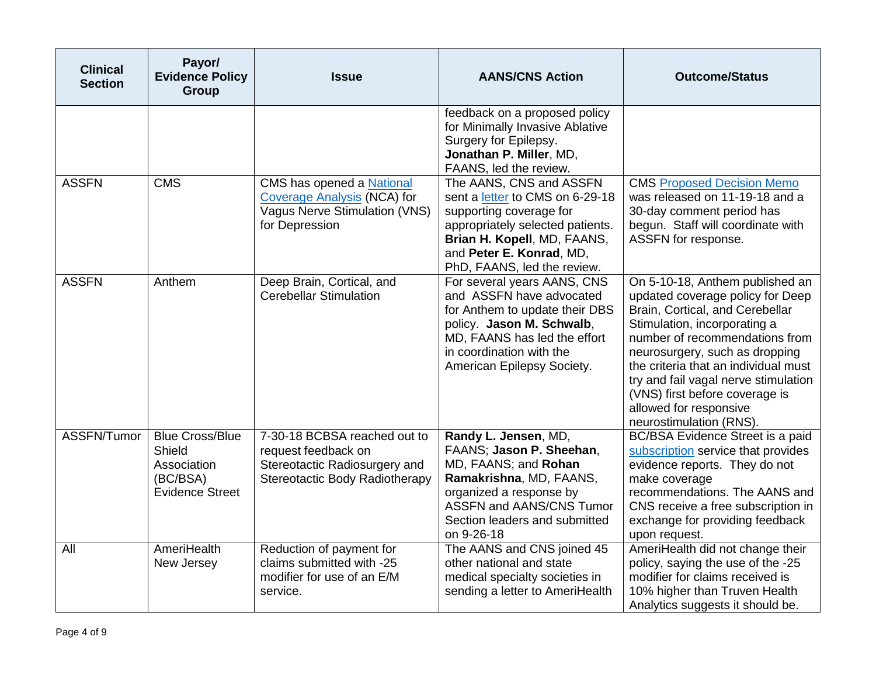| <b>Clinical</b><br><b>Section</b> | Payor/<br><b>Evidence Policy</b><br><b>Group</b>                                      | <b>Issue</b>                                                                                                              | <b>AANS/CNS Action</b>                                                                                                                                                                                              | <b>Outcome/Status</b>                                                                                                                                                                                                                                                                                                                                                             |
|-----------------------------------|---------------------------------------------------------------------------------------|---------------------------------------------------------------------------------------------------------------------------|---------------------------------------------------------------------------------------------------------------------------------------------------------------------------------------------------------------------|-----------------------------------------------------------------------------------------------------------------------------------------------------------------------------------------------------------------------------------------------------------------------------------------------------------------------------------------------------------------------------------|
|                                   |                                                                                       |                                                                                                                           | feedback on a proposed policy<br>for Minimally Invasive Ablative<br>Surgery for Epilepsy.<br>Jonathan P. Miller, MD,<br>FAANS, led the review.                                                                      |                                                                                                                                                                                                                                                                                                                                                                                   |
| <b>ASSFN</b>                      | <b>CMS</b>                                                                            | CMS has opened a National<br><b>Coverage Analysis (NCA) for</b><br><b>Vagus Nerve Stimulation (VNS)</b><br>for Depression | The AANS, CNS and ASSFN<br>sent a letter to CMS on 6-29-18<br>supporting coverage for<br>appropriately selected patients.<br>Brian H. Kopell, MD, FAANS,<br>and Peter E. Konrad, MD,<br>PhD, FAANS, led the review. | <b>CMS Proposed Decision Memo</b><br>was released on 11-19-18 and a<br>30-day comment period has<br>begun. Staff will coordinate with<br>ASSFN for response.                                                                                                                                                                                                                      |
| <b>ASSFN</b>                      | Anthem                                                                                | Deep Brain, Cortical, and<br><b>Cerebellar Stimulation</b>                                                                | For several years AANS, CNS<br>and ASSFN have advocated<br>for Anthem to update their DBS<br>policy. Jason M. Schwalb,<br>MD, FAANS has led the effort<br>in coordination with the<br>American Epilepsy Society.    | On 5-10-18, Anthem published an<br>updated coverage policy for Deep<br>Brain, Cortical, and Cerebellar<br>Stimulation, incorporating a<br>number of recommendations from<br>neurosurgery, such as dropping<br>the criteria that an individual must<br>try and fail vagal nerve stimulation<br>(VNS) first before coverage is<br>allowed for responsive<br>neurostimulation (RNS). |
| ASSFN/Tumor                       | <b>Blue Cross/Blue</b><br>Shield<br>Association<br>(BC/BSA)<br><b>Evidence Street</b> | 7-30-18 BCBSA reached out to<br>request feedback on<br>Stereotactic Radiosurgery and<br>Stereotactic Body Radiotherapy    | Randy L. Jensen, MD,<br>FAANS; Jason P. Sheehan,<br>MD, FAANS; and Rohan<br>Ramakrishna, MD, FAANS,<br>organized a response by<br><b>ASSFN and AANS/CNS Tumor</b><br>Section leaders and submitted<br>on 9-26-18    | BC/BSA Evidence Street is a paid<br>subscription service that provides<br>evidence reports. They do not<br>make coverage<br>recommendations. The AANS and<br>CNS receive a free subscription in<br>exchange for providing feedback<br>upon request.                                                                                                                               |
| All                               | AmeriHealth<br>New Jersey                                                             | Reduction of payment for<br>claims submitted with -25<br>modifier for use of an E/M<br>service.                           | The AANS and CNS joined 45<br>other national and state<br>medical specialty societies in<br>sending a letter to AmeriHealth                                                                                         | AmeriHealth did not change their<br>policy, saying the use of the -25<br>modifier for claims received is<br>10% higher than Truven Health<br>Analytics suggests it should be.                                                                                                                                                                                                     |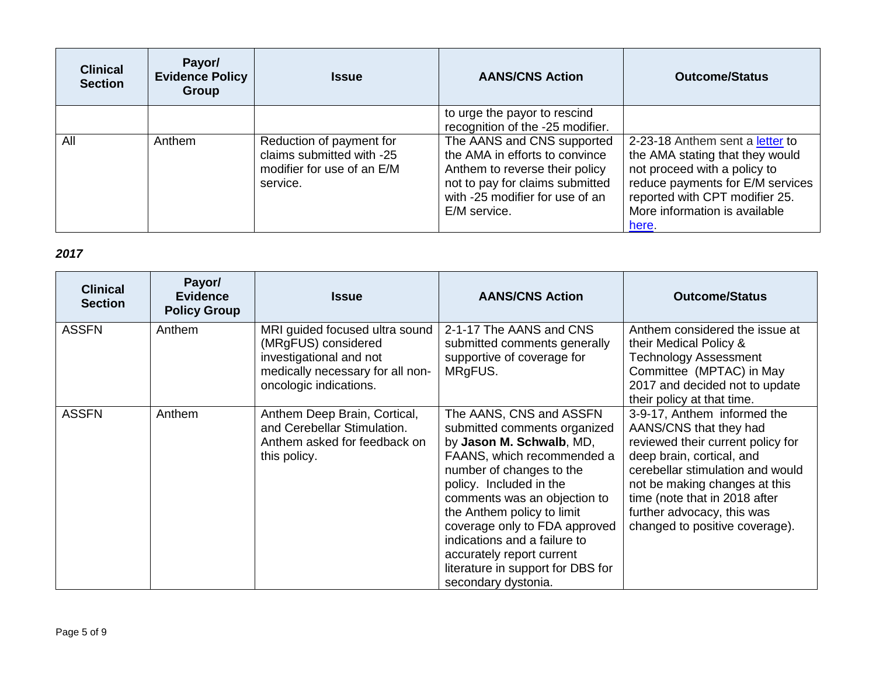| <b>Clinical</b><br><b>Section</b> | Payor/<br><b>Evidence Policy</b><br>Group | <b>Issue</b>                                                                                    | <b>AANS/CNS Action</b>                                                                                                                                                               | <b>Outcome/Status</b>                                                                                                                                                                                              |
|-----------------------------------|-------------------------------------------|-------------------------------------------------------------------------------------------------|--------------------------------------------------------------------------------------------------------------------------------------------------------------------------------------|--------------------------------------------------------------------------------------------------------------------------------------------------------------------------------------------------------------------|
|                                   |                                           |                                                                                                 | to urge the payor to rescind<br>recognition of the -25 modifier.                                                                                                                     |                                                                                                                                                                                                                    |
| All                               | Anthem                                    | Reduction of payment for<br>claims submitted with -25<br>modifier for use of an E/M<br>service. | The AANS and CNS supported<br>the AMA in efforts to convince<br>Anthem to reverse their policy<br>not to pay for claims submitted<br>with -25 modifier for use of an<br>E/M service. | 2-23-18 Anthem sent a letter to<br>the AMA stating that they would<br>not proceed with a policy to<br>reduce payments for E/M services<br>reported with CPT modifier 25.<br>More information is available<br>here. |

## *2017*

| <b>Clinical</b><br><b>Section</b> | Payor/<br><b>Evidence</b><br><b>Policy Group</b> | <b>Issue</b>                                                                                                                                   | <b>AANS/CNS Action</b>                                                                                                                                                                                                                                                                                                                                                                           | <b>Outcome/Status</b>                                                                                                                                                                                                                                                                         |
|-----------------------------------|--------------------------------------------------|------------------------------------------------------------------------------------------------------------------------------------------------|--------------------------------------------------------------------------------------------------------------------------------------------------------------------------------------------------------------------------------------------------------------------------------------------------------------------------------------------------------------------------------------------------|-----------------------------------------------------------------------------------------------------------------------------------------------------------------------------------------------------------------------------------------------------------------------------------------------|
| <b>ASSFN</b>                      | Anthem                                           | MRI guided focused ultra sound<br>(MRgFUS) considered<br>investigational and not<br>medically necessary for all non-<br>oncologic indications. | 2-1-17 The AANS and CNS<br>submitted comments generally<br>supportive of coverage for<br>MRgFUS.                                                                                                                                                                                                                                                                                                 | Anthem considered the issue at<br>their Medical Policy &<br><b>Technology Assessment</b><br>Committee (MPTAC) in May<br>2017 and decided not to update<br>their policy at that time.                                                                                                          |
| <b>ASSFN</b>                      | Anthem                                           | Anthem Deep Brain, Cortical,<br>and Cerebellar Stimulation.<br>Anthem asked for feedback on<br>this policy.                                    | The AANS, CNS and ASSFN<br>submitted comments organized<br>by Jason M. Schwalb, MD,<br>FAANS, which recommended a<br>number of changes to the<br>policy. Included in the<br>comments was an objection to<br>the Anthem policy to limit<br>coverage only to FDA approved<br>indications and a failure to<br>accurately report current<br>literature in support for DBS for<br>secondary dystonia. | 3-9-17, Anthem informed the<br>AANS/CNS that they had<br>reviewed their current policy for<br>deep brain, cortical, and<br>cerebellar stimulation and would<br>not be making changes at this<br>time (note that in 2018 after<br>further advocacy, this was<br>changed to positive coverage). |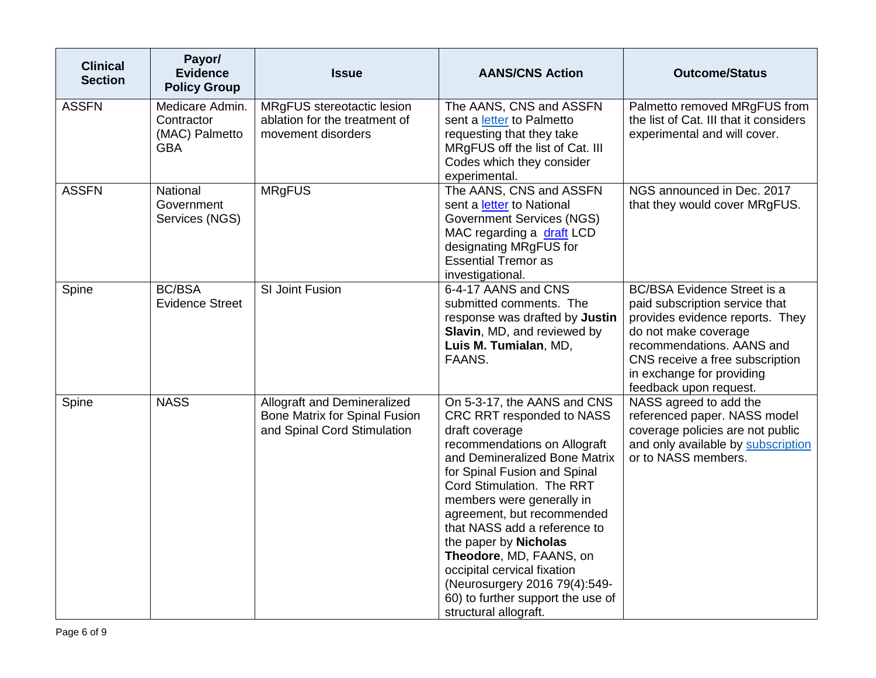| <b>Clinical</b><br><b>Section</b> | Payor/<br><b>Evidence</b><br><b>Policy Group</b>              | <b>Issue</b>                                                                                | <b>AANS/CNS Action</b>                                                                                                                                                                                                                                                                                                                                                                                                                                                                | <b>Outcome/Status</b>                                                                                                                                                                                                                                  |
|-----------------------------------|---------------------------------------------------------------|---------------------------------------------------------------------------------------------|---------------------------------------------------------------------------------------------------------------------------------------------------------------------------------------------------------------------------------------------------------------------------------------------------------------------------------------------------------------------------------------------------------------------------------------------------------------------------------------|--------------------------------------------------------------------------------------------------------------------------------------------------------------------------------------------------------------------------------------------------------|
| <b>ASSFN</b>                      | Medicare Admin.<br>Contractor<br>(MAC) Palmetto<br><b>GBA</b> | MRgFUS stereotactic lesion<br>ablation for the treatment of<br>movement disorders           | The AANS, CNS and ASSFN<br>sent a letter to Palmetto<br>requesting that they take<br>MRgFUS off the list of Cat. III<br>Codes which they consider<br>experimental.                                                                                                                                                                                                                                                                                                                    | Palmetto removed MRgFUS from<br>the list of Cat. III that it considers<br>experimental and will cover.                                                                                                                                                 |
| <b>ASSFN</b>                      | National<br>Government<br>Services (NGS)                      | <b>MRgFUS</b>                                                                               | The AANS, CNS and ASSFN<br>sent a letter to National<br><b>Government Services (NGS)</b><br>MAC regarding a draft LCD<br>designating MRgFUS for<br><b>Essential Tremor as</b><br>investigational.                                                                                                                                                                                                                                                                                     | NGS announced in Dec. 2017<br>that they would cover MRgFUS.                                                                                                                                                                                            |
| Spine                             | <b>BC/BSA</b><br><b>Evidence Street</b>                       | SI Joint Fusion                                                                             | 6-4-17 AANS and CNS<br>submitted comments. The<br>response was drafted by Justin<br>Slavin, MD, and reviewed by<br>Luis M. Tumialan, MD,<br>FAANS.                                                                                                                                                                                                                                                                                                                                    | <b>BC/BSA Evidence Street is a</b><br>paid subscription service that<br>provides evidence reports. They<br>do not make coverage<br>recommendations. AANS and<br>CNS receive a free subscription<br>in exchange for providing<br>feedback upon request. |
| Spine                             | <b>NASS</b>                                                   | Allograft and Demineralized<br>Bone Matrix for Spinal Fusion<br>and Spinal Cord Stimulation | On 5-3-17, the AANS and CNS<br>CRC RRT responded to NASS<br>draft coverage<br>recommendations on Allograft<br>and Demineralized Bone Matrix<br>for Spinal Fusion and Spinal<br>Cord Stimulation. The RRT<br>members were generally in<br>agreement, but recommended<br>that NASS add a reference to<br>the paper by Nicholas<br>Theodore, MD, FAANS, on<br>occipital cervical fixation<br>(Neurosurgery 2016 79(4):549-<br>60) to further support the use of<br>structural allograft. | NASS agreed to add the<br>referenced paper. NASS model<br>coverage policies are not public<br>and only available by subscription<br>or to NASS members.                                                                                                |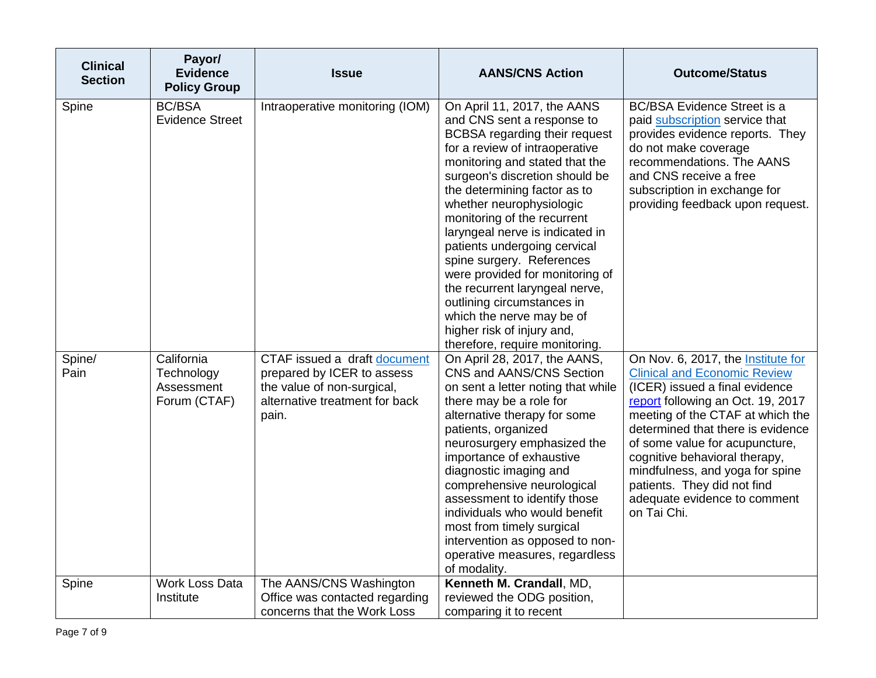| <b>Clinical</b><br><b>Section</b> | Payor/<br><b>Evidence</b><br><b>Policy Group</b>       | <b>Issue</b>                                                                                                                        | <b>AANS/CNS Action</b>                                                                                                                                                                                                                                                                                                                                                                                                                                                                                                                                                                      | <b>Outcome/Status</b>                                                                                                                                                                                                                                                                                                                                                                                         |
|-----------------------------------|--------------------------------------------------------|-------------------------------------------------------------------------------------------------------------------------------------|---------------------------------------------------------------------------------------------------------------------------------------------------------------------------------------------------------------------------------------------------------------------------------------------------------------------------------------------------------------------------------------------------------------------------------------------------------------------------------------------------------------------------------------------------------------------------------------------|---------------------------------------------------------------------------------------------------------------------------------------------------------------------------------------------------------------------------------------------------------------------------------------------------------------------------------------------------------------------------------------------------------------|
| Spine                             | <b>BC/BSA</b><br><b>Evidence Street</b>                | Intraoperative monitoring (IOM)                                                                                                     | On April 11, 2017, the AANS<br>and CNS sent a response to<br>BCBSA regarding their request<br>for a review of intraoperative<br>monitoring and stated that the<br>surgeon's discretion should be<br>the determining factor as to<br>whether neurophysiologic<br>monitoring of the recurrent<br>laryngeal nerve is indicated in<br>patients undergoing cervical<br>spine surgery. References<br>were provided for monitoring of<br>the recurrent laryngeal nerve,<br>outlining circumstances in<br>which the nerve may be of<br>higher risk of injury and,<br>therefore, require monitoring. | <b>BC/BSA Evidence Street is a</b><br>paid subscription service that<br>provides evidence reports. They<br>do not make coverage<br>recommendations. The AANS<br>and CNS receive a free<br>subscription in exchange for<br>providing feedback upon request.                                                                                                                                                    |
| Spine/<br>Pain                    | California<br>Technology<br>Assessment<br>Forum (CTAF) | CTAF issued a draft document<br>prepared by ICER to assess<br>the value of non-surgical,<br>alternative treatment for back<br>pain. | On April 28, 2017, the AANS,<br>CNS and AANS/CNS Section<br>on sent a letter noting that while<br>there may be a role for<br>alternative therapy for some<br>patients, organized<br>neurosurgery emphasized the<br>importance of exhaustive<br>diagnostic imaging and<br>comprehensive neurological<br>assessment to identify those<br>individuals who would benefit<br>most from timely surgical<br>intervention as opposed to non-<br>operative measures, regardless<br>of modality.                                                                                                      | On Nov. 6, 2017, the Institute for<br><b>Clinical and Economic Review</b><br>(ICER) issued a final evidence<br>report following an Oct. 19, 2017<br>meeting of the CTAF at which the<br>determined that there is evidence<br>of some value for acupuncture,<br>cognitive behavioral therapy,<br>mindfulness, and yoga for spine<br>patients. They did not find<br>adequate evidence to comment<br>on Tai Chi. |
| Spine                             | <b>Work Loss Data</b><br>Institute                     | The AANS/CNS Washington<br>Office was contacted regarding<br>concerns that the Work Loss                                            | Kenneth M. Crandall, MD,<br>reviewed the ODG position,<br>comparing it to recent                                                                                                                                                                                                                                                                                                                                                                                                                                                                                                            |                                                                                                                                                                                                                                                                                                                                                                                                               |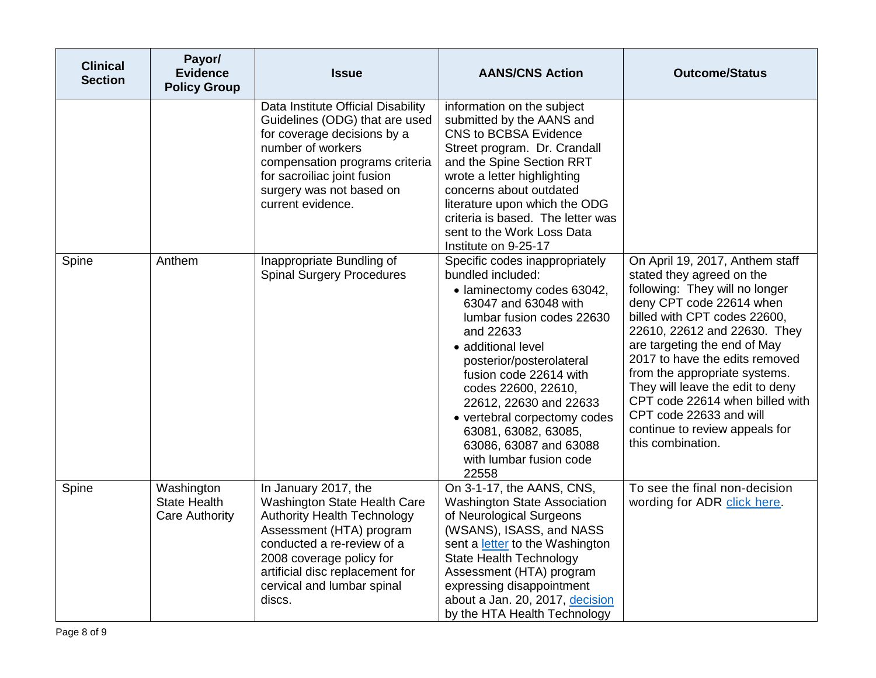| <b>Clinical</b><br><b>Section</b> | Payor/<br><b>Evidence</b><br><b>Policy Group</b>           | Issue                                                                                                                                                                                                                                                       | <b>AANS/CNS Action</b>                                                                                                                                                                                                                                                                                                                                                                                 | <b>Outcome/Status</b>                                                                                                                                                                                                                                                                                                                                                                                                                                  |
|-----------------------------------|------------------------------------------------------------|-------------------------------------------------------------------------------------------------------------------------------------------------------------------------------------------------------------------------------------------------------------|--------------------------------------------------------------------------------------------------------------------------------------------------------------------------------------------------------------------------------------------------------------------------------------------------------------------------------------------------------------------------------------------------------|--------------------------------------------------------------------------------------------------------------------------------------------------------------------------------------------------------------------------------------------------------------------------------------------------------------------------------------------------------------------------------------------------------------------------------------------------------|
|                                   |                                                            | Data Institute Official Disability<br>Guidelines (ODG) that are used<br>for coverage decisions by a<br>number of workers<br>compensation programs criteria<br>for sacroiliac joint fusion<br>surgery was not based on<br>current evidence.                  | information on the subject<br>submitted by the AANS and<br><b>CNS to BCBSA Evidence</b><br>Street program. Dr. Crandall<br>and the Spine Section RRT<br>wrote a letter highlighting<br>concerns about outdated<br>literature upon which the ODG<br>criteria is based. The letter was<br>sent to the Work Loss Data<br>Institute on 9-25-17                                                             |                                                                                                                                                                                                                                                                                                                                                                                                                                                        |
| Spine                             | Anthem                                                     | Inappropriate Bundling of<br><b>Spinal Surgery Procedures</b>                                                                                                                                                                                               | Specific codes inappropriately<br>bundled included:<br>• laminectomy codes 63042,<br>63047 and 63048 with<br>lumbar fusion codes 22630<br>and 22633<br>• additional level<br>posterior/posterolateral<br>fusion code 22614 with<br>codes 22600, 22610,<br>22612, 22630 and 22633<br>• vertebral corpectomy codes<br>63081, 63082, 63085,<br>63086, 63087 and 63088<br>with lumbar fusion code<br>22558 | On April 19, 2017, Anthem staff<br>stated they agreed on the<br>following: They will no longer<br>deny CPT code 22614 when<br>billed with CPT codes 22600,<br>22610, 22612 and 22630. They<br>are targeting the end of May<br>2017 to have the edits removed<br>from the appropriate systems.<br>They will leave the edit to deny<br>CPT code 22614 when billed with<br>CPT code 22633 and will<br>continue to review appeals for<br>this combination. |
| Spine                             | Washington<br><b>State Health</b><br><b>Care Authority</b> | In January 2017, the<br>Washington State Health Care<br><b>Authority Health Technology</b><br>Assessment (HTA) program<br>conducted a re-review of a<br>2008 coverage policy for<br>artificial disc replacement for<br>cervical and lumbar spinal<br>discs. | On 3-1-17, the AANS, CNS,<br><b>Washington State Association</b><br>of Neurological Surgeons<br>(WSANS), ISASS, and NASS<br>sent a letter to the Washington<br><b>State Health Technology</b><br>Assessment (HTA) program<br>expressing disappointment<br>about a Jan. 20, 2017, decision<br>by the HTA Health Technology                                                                              | To see the final non-decision<br>wording for ADR click here.                                                                                                                                                                                                                                                                                                                                                                                           |